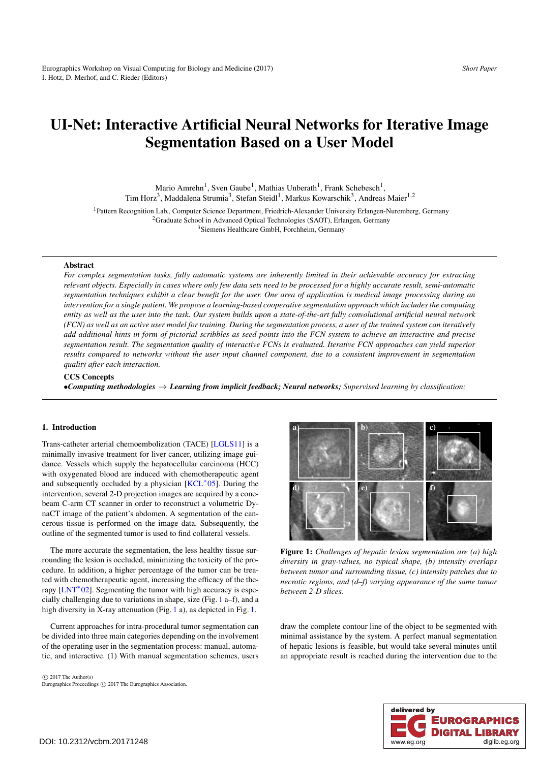# <span id="page-0-1"></span>UI-Net: Interactive Artificial Neural Networks for Iterative Image Segmentation Based on a User Model

Mario Amrehn<sup>1</sup>, Sven Gaube<sup>1</sup>, Mathias Unberath<sup>1</sup>, Frank Schebesch<sup>1</sup>, Tim Horz<sup>3</sup>, Maddalena Strumia<sup>3</sup>, Stefan Steidl<sup>1</sup>, Markus Kowarschik<sup>3</sup>, Andreas Maier<sup>1,2</sup>

<sup>1</sup>Pattern Recognition Lab., Computer Science Department, Friedrich-Alexander University Erlangen-Nuremberg, Germany <sup>2</sup>Graduate School in Advanced Optical Technologies (SAOT), Erlangen, Germany

<sup>3</sup>Siemens Healthcare GmbH, Forchheim, Germany

### Abstract

*For complex segmentation tasks, fully automatic systems are inherently limited in their achievable accuracy for extracting relevant objects. Especially in cases where only few data sets need to be processed for a highly accurate result, semi-automatic segmentation techniques exhibit a clear benefit for the user. One area of application is medical image processing during an intervention for a single patient. We propose a learning-based cooperative segmentation approach which includes the computing entity as well as the user into the task. Our system builds upon a state-of-the-art fully convolutional artificial neural network (FCN) as well as an active user model for training. During the segmentation process, a user of the trained system can iteratively add additional hints in form of pictorial scribbles as seed points into the FCN system to achieve an interactive and precise segmentation result. The segmentation quality of interactive FCNs is evaluated. Iterative FCN approaches can yield superior results compared to networks without the user input channel component, due to a consistent improvement in segmentation quality after each interaction.*

#### CCS Concepts

•*Computing methodologies* → *Learning from implicit feedback; Neural networks; Supervised learning by classification;*

# 1. Introduction

Trans-catheter arterial chemoembolization (TACE) [\[LGLS11\]](#page-4-0) is a minimally invasive treatment for liver cancer, utilizing image guidance. Vessels which supply the hepatocellular carcinoma (HCC) with oxygenated blood are induced with chemotherapeutic agent and subsequently occluded by a physician  $[KCL^*05]$  $[KCL^*05]$ . During the intervention, several 2-D projection images are acquired by a conebeam C-arm CT scanner in order to reconstruct a volumetric DynaCT image of the patient's abdomen. A segmentation of the cancerous tissue is performed on the image data. Subsequently, the outline of the segmented tumor is used to find collateral vessels.

The more accurate the segmentation, the less healthy tissue surrounding the lesion is occluded, minimizing the toxicity of the procedure. In addition, a higher percentage of the tumor can be treated with chemotherapeutic agent, increasing the efficacy of the therapy  $[INT^*02]$ . Segmenting the tumor with high accuracy is especially challenging due to variations in shape, size (Fig. [1](#page-0-0) a–f), and a high diversity in X-ray attenuation (Fig. [1](#page-0-0) a), as depicted in Fig. [1.](#page-0-0)

Current approaches for intra-procedural tumor segmentation can be divided into three main categories depending on the involvement of the operating user in the segmentation process: manual, automatic, and interactive. (1) With manual segmentation schemes, users

a) b) c) d)  $(e)$  f)

<span id="page-0-0"></span>Figure 1: *Challenges of hepatic lesion segmentation are (a) high diversity in gray-values, no typical shape, (b) intensity overlaps between tumor and surrounding tissue, (c) intensity patches due to necrotic regions, and (d–f) varying appearance of the same tumor between 2-D slices.*

draw the complete contour line of the object to be segmented with minimal assistance by the system. A perfect manual segmentation of hepatic lesions is feasible, but would take several minutes until an appropriate result is reached during the intervention due to the

 $\odot$  2017 The Author(s) Eurographics Proceedings C 2017 The Eurographics Association.

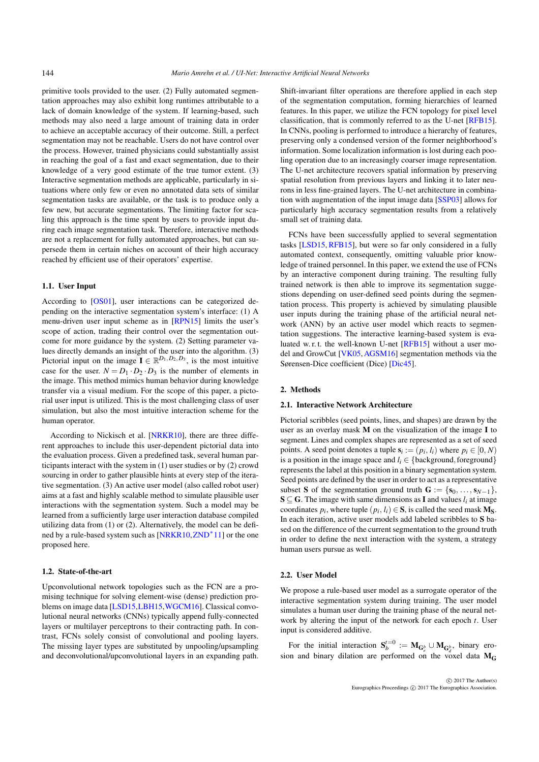<span id="page-1-1"></span>primitive tools provided to the user. (2) Fully automated segmentation approaches may also exhibit long runtimes attributable to a lack of domain knowledge of the system. If learning-based, such methods may also need a large amount of training data in order to achieve an acceptable accuracy of their outcome. Still, a perfect segmentation may not be reachable. Users do not have control over the process. However, trained physicians could substantially assist in reaching the goal of a fast and exact segmentation, due to their knowledge of a very good estimate of the true tumor extent. (3) Interactive segmentation methods are applicable, particularly in situations where only few or even no annotated data sets of similar segmentation tasks are available, or the task is to produce only a few new, but accurate segmentations. The limiting factor for scaling this approach is the time spent by users to provide input during each image segmentation task. Therefore, interactive methods are not a replacement for fully automated approaches, but can supersede them in certain niches on account of their high accuracy reached by efficient use of their operators' expertise.

### 1.1. User Input

According to [\[OS01\]](#page-4-3), user interactions can be categorized depending on the interactive segmentation system's interface: (1) A menu-driven user input scheme as in [\[RPN15\]](#page-4-4) limits the user's scope of action, trading their control over the segmentation outcome for more guidance by the system. (2) Setting parameter values directly demands an insight of the user into the algorithm. (3) Pictorial input on the image  $\mathbf{I} \in \mathbb{R}^{D_1, D_2, D_3}$ , is the most intuitive case for the user.  $N = D_1 \cdot D_2 \cdot D_3$  is the number of elements in the image. This method mimics human behavior during knowledge transfer via a visual medium. For the scope of this paper, a pictorial user input is utilized. This is the most challenging class of user simulation, but also the most intuitive interaction scheme for the human operator.

According to Nickisch et al. [\[NRKR10\]](#page-4-5), there are three different approaches to include this user-dependent pictorial data into the evaluation process. Given a predefined task, several human participants interact with the system in (1) user studies or by (2) crowd sourcing in order to gather plausible hints at every step of the iterative segmentation. (3) An active user model (also called robot user) aims at a fast and highly scalable method to simulate plausible user interactions with the segmentation system. Such a model may be learned from a sufficiently large user interaction database compiled utilizing data from (1) or (2). Alternatively, the model can be defi-ned by a rule-based system such as [\[NRKR10,](#page-4-5)[ZND](#page-4-6)<sup>∗</sup>11] or the one proposed here.

# 1.2. State-of-the-art

Upconvolutional network topologies such as the FCN are a promising technique for solving element-wise (dense) prediction problems on image data [\[LSD15,](#page-4-7)[LBH15](#page-4-8)[,WGCM16\]](#page-4-9). Classical convolutional neural networks (CNNs) typically append fully-connected layers or multilayer perceptrons to their contracting path. In contrast, FCNs solely consist of convolutional and pooling layers. The missing layer types are substituted by unpooling/upsampling and deconvolutional/upconvolutional layers in an expanding path.

Shift-invariant filter operations are therefore applied in each step of the segmentation computation, forming hierarchies of learned features. In this paper, we utilize the FCN topology for pixel level classification, that is commonly referred to as the U-net [\[RFB15\]](#page-4-10). In CNNs, pooling is performed to introduce a hierarchy of features, preserving only a condensed version of the former neighborhood's information. Some localization information is lost during each pooling operation due to an increasingly coarser image representation. The U-net architecture recovers spatial information by preserving spatial resolution from previous layers and linking it to later neurons in less fine-grained layers. The U-net architecture in combination with augmentation of the input image data [\[SSP03\]](#page-4-11) allows for particularly high accuracy segmentation results from a relatively small set of training data.

FCNs have been successfully applied to several segmentation tasks [\[LSD15,](#page-4-7) [RFB15\]](#page-4-10), but were so far only considered in a fully automated context, consequently, omitting valuable prior knowledge of trained personnel. In this paper, we extend the use of FCNs by an interactive component during training. The resulting fully trained network is then able to improve its segmentation suggestions depending on user-defined seed points during the segmentation process. This property is achieved by simulating plausible user inputs during the training phase of the artificial neural network (ANN) by an active user model which reacts to segmentation suggestions. The interactive learning-based system is evaluated w. r. t. the well-known U-net [\[RFB15\]](#page-4-10) without a user model and GrowCut [\[VK05,](#page-4-12)[AGSM16\]](#page-4-13) segmentation methods via the Sørensen-Dice coefficient (Dice) [\[Dic45\]](#page-4-14).

### 2. Methods

#### 2.1. Interactive Network Architecture

Pictorial scribbles (seed points, lines, and shapes) are drawn by the user as an overlay mask M on the visualization of the image I to segment. Lines and complex shapes are represented as a set of seed points. A seed point denotes a tuple  $\mathbf{s}_i := (p_i, l_i)$  where  $p_i \in [0, N)$ is a position in the image space and  $l_i \in \{background, foreground\}$ represents the label at this position in a binary segmentation system. Seed points are defined by the user in order to act as a representative subset S of the segmentation ground truth  $G := \{s_0, \ldots, s_{N-1}\},\$  $S \subseteq G$ . The image with same dimensions as **I** and values  $l_i$  at image coordinates  $p_i$ , where tuple  $(p_i, l_i) \in S$ , is called the seed mask  $M_S$ . In each iteration, active user models add labeled scribbles to S based on the difference of the current segmentation to the ground truth in order to define the next interaction with the system, a strategy human users pursue as well.

#### <span id="page-1-0"></span>2.2. User Model

We propose a rule-based user model as a surrogate operator of the interactive segmentation system during training. The user model simulates a human user during the training phase of the neural network by altering the input of the network for each epoch *t*. User input is considered additive.

For the initial interaction  $S_b^{t=0} := M_{G_e^b} \cup M_{G_d^b}$ , binary erosion and binary dilation are performed on the voxel data  $M_G$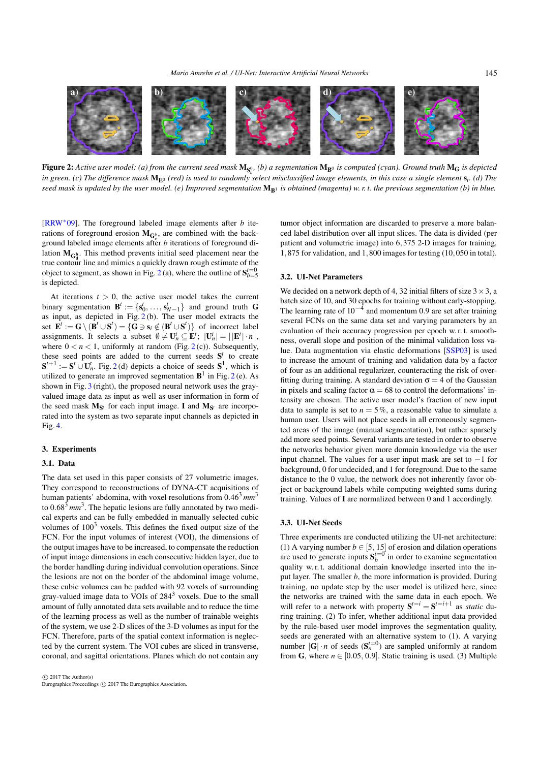<span id="page-2-1"></span>145



 ${\bf Figure~2:}$  Active user model: (a) from the current seed mask  $\bf{M_{S^0_k}}$  (b) a segmentation  ${\bf M_{B^0}}$  is computed (cyan). Ground truth  ${\bf M_G}$  is depicted *b in green. (c) The difference mask* ME<sup>0</sup> *(red) is used to randomly select misclassified image elements, in this case a single element* s*i. (d) The* seed mask is updated by the user model. (e) Improved segmentation  $M_{R1}$  *is obtained (magenta)* w. r. t. the previous segmentation (b) in blue.

<span id="page-2-0"></span>[\[RRW](#page-4-15)∗09]. The foreground labeled image elements after *b* iterations of foreground erosion  $M_{\mathbb{G}_e^b}$ , are combined with the background labeled image elements after *b* iterations of foreground dilation  $M_{G_d^b}$ . This method prevents initial seed placement near the true contour line and mimics a quickly drawn rough estimate of the object to segment, as shown in Fig. [2](#page-2-0)(a), where the outline of  $S_{b=5}^{t=0}$ is depicted.

At iterations  $t > 0$ , the active user model takes the current binary segmentation  $\mathbf{B}^t := \{ \mathbf{s}_0^t, \ldots, \mathbf{s}_{N-1}^t \}$  and ground truth **G** as input, as depicted in Fig.  $2(b)$  $2(b)$ . The user model extracts the set  $\mathbf{E}^t := \mathbf{G} \setminus (\mathbf{B}^t \cup \mathbf{S}^t) = \{ \mathbf{G} \ni \mathbf{s}_i \notin (\mathbf{B}^t \cup \mathbf{S}^t) \}$  of incorrect label assignments. It selects a subset  $\emptyset \neq \mathbf{U}_n^t \subseteq \mathbf{E}^t$ ;  $|\mathbf{U}_n^t| = \lceil |\mathbf{E}^t| \cdot n \rceil$ , where  $0 < n < 1$ , uniformly at random (Fig. [2](#page-2-0)(c)). Subsequently, these seed points are added to the current seeds  $S<sup>t</sup>$  to create  $S^{t+1} := S^t \cup U_n^t$ . Fig. [2](#page-2-0)(d) depicts a choice of seeds  $S^1$ , which is utilized to generate an improved segmentation  $\mathbf{B}^1$  in Fig. [2](#page-2-0)(e). As shown in Fig. [3](#page-3-0) (right), the proposed neural network uses the grayvalued image data as input as well as user information in form of the seed mask  $M_{S}$ <sup>t</sup> for each input image. I and  $M_{S}$ <sup>t</sup> are incorporated into the system as two separate input channels as depicted in Fig. [4.](#page-3-1)

# 3. Experiments

# 3.1. Data

The data set used in this paper consists of 27 volumetric images. They correspond to reconstructions of DYNA-CT acquisitions of human patients' abdomina, with voxel resolutions from 0.46<sup>3</sup> mm<sup>3</sup> to  $0.68<sup>3</sup>$  *mm*<sup>3</sup>. The hepatic lesions are fully annotated by two medical experts and can be fully embedded in manually selected cubic volumes of  $100<sup>3</sup>$  voxels. This defines the fixed output size of the FCN. For the input volumes of interest (VOI), the dimensions of the output images have to be increased, to compensate the reduction of input image dimensions in each consecutive hidden layer, due to the border handling during individual convolution operations. Since the lesions are not on the border of the abdominal image volume, these cubic volumes can be padded with 92 voxels of surrounding gray-valued image data to VOIs of  $284<sup>3</sup>$  voxels. Due to the small amount of fully annotated data sets available and to reduce the time of the learning process as well as the number of trainable weights of the system, we use 2-D slices of the 3-D volumes as input for the FCN. Therefore, parts of the spatial context information is neglected by the current system. The VOI cubes are sliced in transverse, coronal, and sagittal orientations. Planes which do not contain any

tumor object information are discarded to preserve a more balanced label distribution over all input slices. The data is divided (per patient and volumetric image) into 6,375 2-D images for training, 1,875 for validation, and 1,800 images for testing (10,050 in total).

# 3.2. UI-Net Parameters

We decided on a network depth of 4, 32 initial filters of size  $3 \times 3$ , a batch size of 10, and 30 epochs for training without early-stopping. The learning rate of  $10^{-4}$  and momentum 0.9 are set after training several FCNs on the same data set and varying parameters by an evaluation of their accuracy progression per epoch w. r. t. smoothness, overall slope and position of the minimal validation loss value. Data augmentation via elastic deformations [\[SSP03\]](#page-4-11) is used to increase the amount of training and validation data by a factor of four as an additional regularizer, counteracting the risk of overfitting during training. A standard deviation  $\sigma = 4$  of the Gaussian in pixels and scaling factor  $\alpha = 68$  to control the deformations' intensity are chosen. The active user model's fraction of new input data to sample is set to  $n = 5\%$ , a reasonable value to simulate a human user. Users will not place seeds in all erroneously segmented areas of the image (manual segmentation), but rather sparsely add more seed points. Several variants are tested in order to observe the networks behavior given more domain knowledge via the user input channel. The values for a user input mask are set to −1 for background, 0 for undecided, and 1 for foreground. Due to the same distance to the 0 value, the network does not inherently favor object or background labels while computing weighted sums during training. Values of I are normalized between 0 and 1 accordingly.

#### 3.3. UI-Net Seeds

Three experiments are conducted utilizing the UI-net architecture: (1) A varying number  $b \in [5, 15]$  of erosion and dilation operations are used to generate inputs  $S_b^{t=0}$  in order to examine segmentation quality w. r. t. additional domain knowledge inserted into the input layer. The smaller *b*, the more information is provided. During training, no update step by the user model is utilized here, since the networks are trained with the same data in each epoch. We will refer to a network with property  $S^{t=i} = S^{t=i+1}$  as *static* during training. (2) To infer, whether additional input data provided by the rule-based user model improves the segmentation quality, seeds are generated with an alternative system to (1). A varying number  $|G| \cdot n$  of seeds  $(S_n^{t=0})$  are sampled uniformly at random from G, where  $n \in [0.05, 0.9]$ . Static training is used. (3) Multiple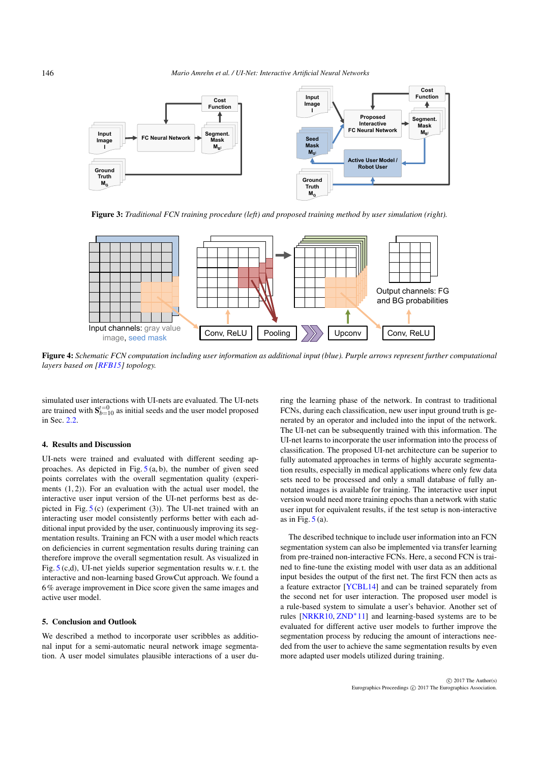<span id="page-3-2"></span>

<span id="page-3-0"></span>Figure 3: *Traditional FCN training procedure (left) and proposed training method by user simulation (right).*



<span id="page-3-1"></span>Figure 4: *Schematic FCN computation including user information as additional input (blue). Purple arrows represent further computational layers based on [\[RFB15\]](#page-4-10) topology.*

simulated user interactions with UI-nets are evaluated. The UI-nets are trained with  $S_{b=10}^{t=0}$  as initial seeds and the user model proposed in Sec. [2.2.](#page-1-0)

# 4. Results and Discussion

UI-nets were trained and evaluated with different seeding approaches. As depicted in Fig.  $5(a, b)$  $5(a, b)$ , the number of given seed points correlates with the overall segmentation quality (experiments  $(1, 2)$ ). For an evaluation with the actual user model, the interactive user input version of the UI-net performs best as depicted in Fig.  $5$  (c) (experiment (3)). The UI-net trained with an interacting user model consistently performs better with each additional input provided by the user, continuously improving its segmentation results. Training an FCN with a user model which reacts on deficiencies in current segmentation results during training can therefore improve the overall segmentation result. As visualized in Fig.  $5$  (c,d), UI-net yields superior segmentation results w. r. t. the interactive and non-learning based GrowCut approach. We found a 6% average improvement in Dice score given the same images and active user model.

#### 5. Conclusion and Outlook

We described a method to incorporate user scribbles as additional input for a semi-automatic neural network image segmentation. A user model simulates plausible interactions of a user du-

ring the learning phase of the network. In contrast to traditional FCNs, during each classification, new user input ground truth is generated by an operator and included into the input of the network. The UI-net can be subsequently trained with this information. The UI-net learns to incorporate the user information into the process of classification. The proposed UI-net architecture can be superior to fully automated approaches in terms of highly accurate segmentation results, especially in medical applications where only few data sets need to be processed and only a small database of fully annotated images is available for training. The interactive user input version would need more training epochs than a network with static user input for equivalent results, if the test setup is non-interactive as in Fig.  $5(a)$  $5(a)$ .

The described technique to include user information into an FCN segmentation system can also be implemented via transfer learning from pre-trained non-interactive FCNs. Here, a second FCN is trained to fine-tune the existing model with user data as an additional input besides the output of the first net. The first FCN then acts as a feature extractor [\[YCBL14\]](#page-4-17) and can be trained separately from the second net for user interaction. The proposed user model is a rule-based system to simulate a user's behavior. Another set of rules [\[NRKR10,](#page-4-5) [ZND](#page-4-6)∗11] and learning-based systems are to be evaluated for different active user models to further improve the segmentation process by reducing the amount of interactions needed from the user to achieve the same segmentation results by even more adapted user models utilized during training.